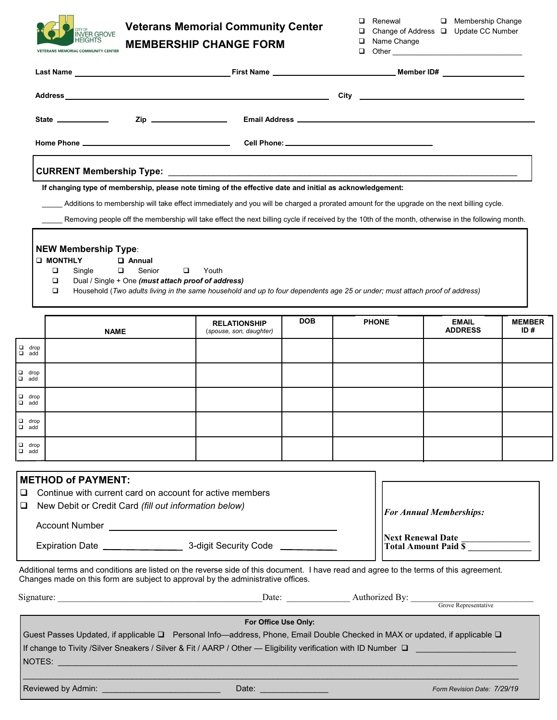

# **Veterans Memorial Community Center MEMBERSHIP CHANGE FORM**

|  | □ Renewal |  | □ Membership Change |  |
|--|-----------|--|---------------------|--|
|--|-----------|--|---------------------|--|

| $\Box$ Change of Address $\Box$ Update CC Number |  |  |
|--------------------------------------------------|--|--|

|  | □ Name Change |
|--|---------------|
|  |               |

 $\Box$  Other

|                           |                                                                                                                                                                                                                                                                                                                                                                                                             |                                                                                                                                                |            | First Name <b>Example 2018</b>           | Member ID#                     |                      |  |
|---------------------------|-------------------------------------------------------------------------------------------------------------------------------------------------------------------------------------------------------------------------------------------------------------------------------------------------------------------------------------------------------------------------------------------------------------|------------------------------------------------------------------------------------------------------------------------------------------------|------------|------------------------------------------|--------------------------------|----------------------|--|
|                           |                                                                                                                                                                                                                                                                                                                                                                                                             |                                                                                                                                                |            |                                          |                                |                      |  |
|                           | State ____________                                                                                                                                                                                                                                                                                                                                                                                          | Zip __________________                                                                                                                         |            |                                          |                                |                      |  |
|                           |                                                                                                                                                                                                                                                                                                                                                                                                             |                                                                                                                                                |            |                                          |                                |                      |  |
|                           |                                                                                                                                                                                                                                                                                                                                                                                                             |                                                                                                                                                |            |                                          |                                |                      |  |
|                           | If changing type of membership, please note timing of the effective date and initial as acknowledgement:<br>Additions to membership will take effect immediately and you will be charged a prorated amount for the upgrade on the next billing cycle.<br>Removing people off the membership will take effect the next billing cycle if received by the 10th of the month, otherwise in the following month. |                                                                                                                                                |            |                                          |                                |                      |  |
|                           | <b>NEW Membership Type:</b><br><b>U MONTHLY</b><br><b>Q</b> Annual<br>Single<br>$\Box$<br>Senior<br>□<br>❏<br>Dual / Single + One (must attach proof of address)<br>❏                                                                                                                                                                                                                                       | Youth<br>$\Box$<br>Household (Two adults living in the same household and up to four dependents age 25 or under; must attach proof of address) |            |                                          |                                |                      |  |
|                           | <b>NAME</b>                                                                                                                                                                                                                                                                                                                                                                                                 | <b>RELATIONSHIP</b><br>(spouse, son, daughter)                                                                                                 | <b>DOB</b> | <b>PHONE</b>                             | <b>EMAIL</b><br><b>ADDRESS</b> | <b>MEMBER</b><br>ID# |  |
| $\Box$ drop<br>$a$ add    |                                                                                                                                                                                                                                                                                                                                                                                                             |                                                                                                                                                |            |                                          |                                |                      |  |
| $\Box$ drop<br>$\Box$ add |                                                                                                                                                                                                                                                                                                                                                                                                             |                                                                                                                                                |            |                                          |                                |                      |  |
| $\Box$ drop<br>$\Box$ add |                                                                                                                                                                                                                                                                                                                                                                                                             |                                                                                                                                                |            |                                          |                                |                      |  |
| $\Box$ drop<br>$\Box$ add |                                                                                                                                                                                                                                                                                                                                                                                                             |                                                                                                                                                |            |                                          |                                |                      |  |
| $\Box$ drop<br>$\Box$ add |                                                                                                                                                                                                                                                                                                                                                                                                             |                                                                                                                                                |            |                                          |                                |                      |  |
| ❏<br>$\Box$               | <b>METHOD of PAYMENT:</b><br>Continue with current card on account for active members<br>New Debit or Credit Card (fill out information below)                                                                                                                                                                                                                                                              |                                                                                                                                                |            |                                          | <b>For Annual Memberships:</b> |                      |  |
|                           |                                                                                                                                                                                                                                                                                                                                                                                                             |                                                                                                                                                |            | Next Renewal Date<br>Total Amount Paid S |                                |                      |  |
|                           | Additional terms and conditions are listed on the reverse side of this document. I have read and agree to the terms of this agreement.<br>Changes made on this form are subject to approval by the administrative offices.                                                                                                                                                                                  |                                                                                                                                                |            |                                          |                                |                      |  |
|                           |                                                                                                                                                                                                                                                                                                                                                                                                             |                                                                                                                                                |            |                                          |                                |                      |  |
|                           |                                                                                                                                                                                                                                                                                                                                                                                                             | For Office Use Only:                                                                                                                           |            |                                          |                                |                      |  |

Guest Passes Updated, if applicable ❑ Personal Info—address, Phone, Email Double Checked in MAX or updated, if applicable ❑ If change to Tivity /Silver Sneakers / Silver & Fit / AARP / Other — Eligibility verification with ID Number □

 $\_$  , and the set of the set of the set of the set of the set of the set of the set of the set of the set of the set of the set of the set of the set of the set of the set of the set of the set of the set of the set of th

NOTES: \_\_\_\_\_\_\_\_\_\_\_\_\_\_\_\_\_\_\_\_\_\_\_\_\_\_\_\_\_\_\_\_\_\_\_\_\_\_\_\_\_\_\_\_\_\_\_\_\_\_\_\_\_\_\_\_\_\_\_\_\_\_\_\_\_\_\_\_\_\_\_\_\_\_\_\_\_\_\_\_\_\_\_\_\_\_\_\_\_\_\_\_\_\_\_\_\_\_\_\_\_

Reviewed by Admin: \_\_\_\_\_\_\_\_\_\_\_\_\_\_\_\_\_\_\_\_\_\_\_\_\_\_ Date: \_\_\_\_\_\_\_\_\_\_\_\_\_\_\_ *Form Revision Date: 7/29/19*